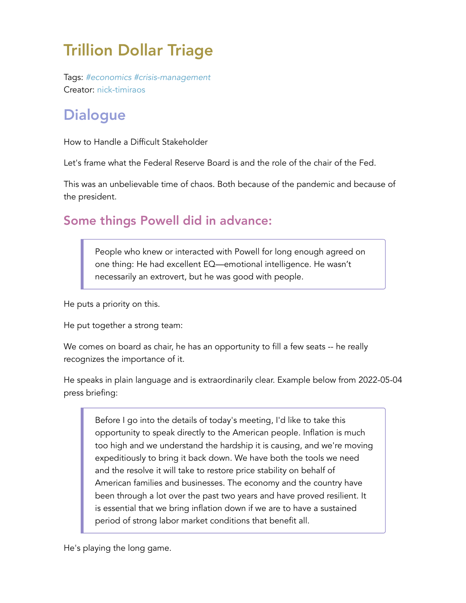# Trillion Dollar Triage

Tags: *#economics #crisis-management* Creator: nick-timiraos

## **Dialogue**

How to Handle a Difficult Stakeholder

Let's frame what the Federal Reserve Board is and the role of the chair of the Fed.

This was an unbelievable time of chaos. Both because of the pandemic and because of the president.

### Some things Powell did in advance:

People who knew or interacted with Powell for long enough agreed on one thing: He had excellent EQ—emotional intelligence. He wasn't necessarily an extrovert, but he was good with people.

He puts a priority on this.

He put together a strong team:

We comes on board as chair, he has an opportunity to fill a few seats -- he really recognizes the importance of it.

He speaks in plain language and is extraordinarily clear. Example below from 2022-05-04 press briefing:

Before I go into the details of today's meeting, I'd like to take this opportunity to speak directly to the American people. Inflation is much too high and we understand the hardship it is causing, and we're moving expeditiously to bring it back down. We have both the tools we need and the resolve it will take to restore price stability on behalf of American families and businesses. The economy and the country have been through a lot over the past two years and have proved resilient. It is essential that we bring inflation down if we are to have a sustained period of strong labor market conditions that benefit all.

He's playing the long game.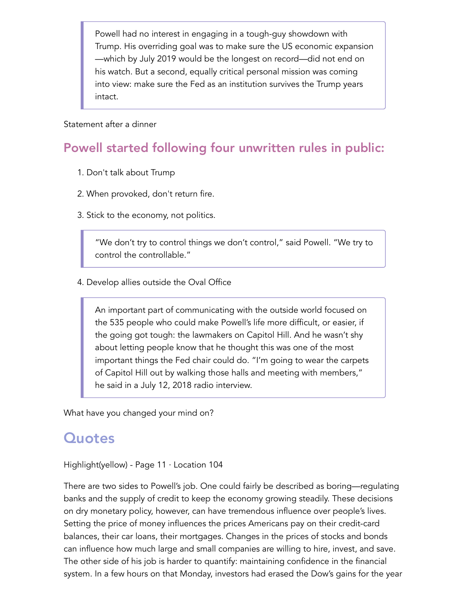Powell had no interest in engaging in a tough-guy showdown with Trump. His overriding goal was to make sure the US economic expansion —which by July 2019 would be the longest on record—did not end on his watch. But a second, equally critical personal mission was coming into view: make sure the Fed as an institution survives the Trump years intact.

#### Statement after a dinner

### Powell started following four unwritten rules in public:

- 1. Don't talk about Trump
- 2. When provoked, don't return fire.
- 3. Stick to the economy, not politics.

"We don't try to control things we don't control," said Powell. "We try to control the controllable."

4. Develop allies outside the Oval Office

An important part of communicating with the outside world focused on the 535 people who could make Powell's life more difficult, or easier, if the going got tough: the lawmakers on Capitol Hill. And he wasn't shy about letting people know that he thought this was one of the most important things the Fed chair could do. "I'm going to wear the carpets of Capitol Hill out by walking those halls and meeting with members," he said in a July 12, 2018 radio interview.

What have you changed your mind on?

### **Quotes**

Highlight(yellow) - Page 11 · Location 104

There are two sides to Powell's job. One could fairly be described as boring—regulating banks and the supply of credit to keep the economy growing steadily. These decisions on dry monetary policy, however, can have tremendous influence over people's lives. Setting the price of money influences the prices Americans pay on their credit-card balances, their car loans, their mortgages. Changes in the prices of stocks and bonds can influence how much large and small companies are willing to hire, invest, and save. The other side of his job is harder to quantify: maintaining confidence in the financial system. In a few hours on that Monday, investors had erased the Dow's gains for the year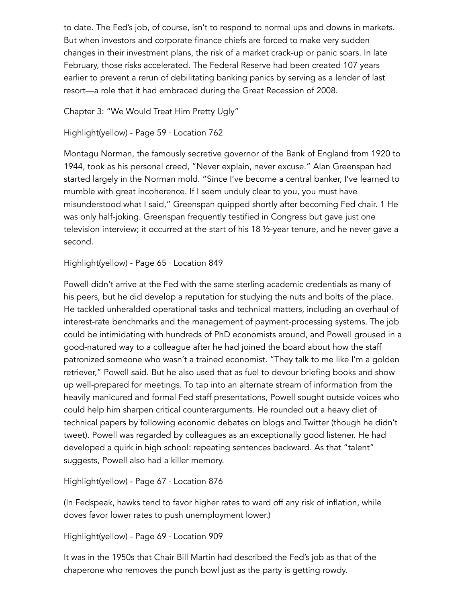to date. The Fed's job, of course, isn't to respond to normal ups and downs in markets. But when investors and corporate finance chiefs are forced to make very sudden changes in their investment plans, the risk of a market crack-up or panic soars. In late February, those risks accelerated. The Federal Reserve had been created 107 years earlier to prevent a rerun of debilitating banking panics by serving as a lender of last resort—a role that it had embraced during the Great Recession of 2008.

Chapter 3: "We Would Treat Him Pretty Ugly"

```
Highlight(yellow) - Page 59 · Location 762
```
Montagu Norman, the famously secretive governor of the Bank of England from 1920 to 1944, took as his personal creed, "Never explain, never excuse." Alan Greenspan had started largely in the Norman mold. "Since I've become a central banker, I've learned to mumble with great incoherence. If I seem unduly clear to you, you must have misunderstood what I said," Greenspan quipped shortly after becoming Fed chair. 1 He was only half-joking. Greenspan frequently testified in Congress but gave just one television interview; it occurred at the start of his 18 ½-year tenure, and he never gave a second.

Highlight(yellow) - Page 65 · Location 849

Powell didn't arrive at the Fed with the same sterling academic credentials as many of his peers, but he did develop a reputation for studying the nuts and bolts of the place. He tackled unheralded operational tasks and technical matters, including an overhaul of interest-rate benchmarks and the management of payment-processing systems. The job could be intimidating with hundreds of PhD economists around, and Powell groused in a good-natured way to a colleague after he had joined the board about how the staff patronized someone who wasn't a trained economist. "They talk to me like I'm a golden retriever," Powell said. But he also used that as fuel to devour briefing books and show up well-prepared for meetings. To tap into an alternate stream of information from the heavily manicured and formal Fed staff presentations, Powell sought outside voices who could help him sharpen critical counterarguments. He rounded out a heavy diet of technical papers by following economic debates on blogs and Twitter (though he didn't tweet). Powell was regarded by colleagues as an exceptionally good listener. He had developed a quirk in high school: repeating sentences backward. As that "talent" suggests, Powell also had a killer memory.

Highlight(yellow) - Page 67 · Location 876

(In Fedspeak, hawks tend to favor higher rates to ward off any risk of inflation, while doves favor lower rates to push unemployment lower.)

Highlight(yellow) - Page 69 · Location 909

It was in the 1950s that Chair Bill Martin had described the Fed's job as that of the chaperone who removes the punch bowl just as the party is getting rowdy.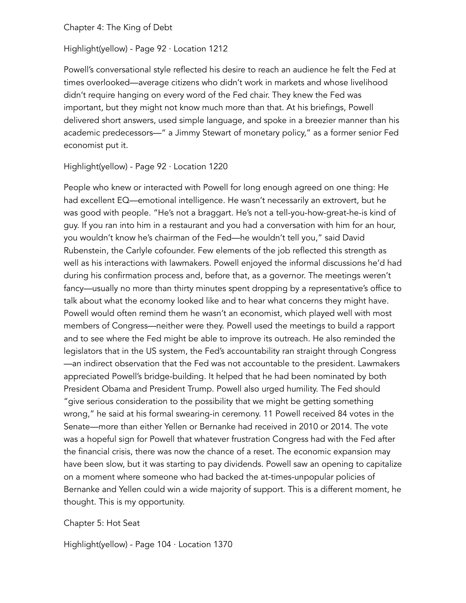Chapter 4: The King of Debt

Highlight(yellow) - Page 92 · Location 1212

Powell's conversational style reflected his desire to reach an audience he felt the Fed at times overlooked—average citizens who didn't work in markets and whose livelihood didn't require hanging on every word of the Fed chair. They knew the Fed was important, but they might not know much more than that. At his briefings, Powell delivered short answers, used simple language, and spoke in a breezier manner than his academic predecessors—" a Jimmy Stewart of monetary policy," as a former senior Fed economist put it.

Highlight(yellow) - Page 92 · Location 1220

People who knew or interacted with Powell for long enough agreed on one thing: He had excellent EQ—emotional intelligence. He wasn't necessarily an extrovert, but he was good with people. "He's not a braggart. He's not a tell-you-how-great-he-is kind of guy. If you ran into him in a restaurant and you had a conversation with him for an hour, you wouldn't know he's chairman of the Fed—he wouldn't tell you," said David Rubenstein, the Carlyle cofounder. Few elements of the job reflected this strength as well as his interactions with lawmakers. Powell enjoyed the informal discussions he'd had during his confirmation process and, before that, as a governor. The meetings weren't fancy—usually no more than thirty minutes spent dropping by a representative's office to talk about what the economy looked like and to hear what concerns they might have. Powell would often remind them he wasn't an economist, which played well with most members of Congress—neither were they. Powell used the meetings to build a rapport and to see where the Fed might be able to improve its outreach. He also reminded the legislators that in the US system, the Fed's accountability ran straight through Congress —an indirect observation that the Fed was not accountable to the president. Lawmakers appreciated Powell's bridge-building. It helped that he had been nominated by both President Obama and President Trump. Powell also urged humility. The Fed should "give serious consideration to the possibility that we might be getting something wrong," he said at his formal swearing-in ceremony. 11 Powell received 84 votes in the Senate—more than either Yellen or Bernanke had received in 2010 or 2014. The vote was a hopeful sign for Powell that whatever frustration Congress had with the Fed after the financial crisis, there was now the chance of a reset. The economic expansion may have been slow, but it was starting to pay dividends. Powell saw an opening to capitalize on a moment where someone who had backed the at-times-unpopular policies of Bernanke and Yellen could win a wide majority of support. This is a different moment, he thought. This is my opportunity.

#### Chapter 5: Hot Seat

Highlight(yellow) - Page 104 · Location 1370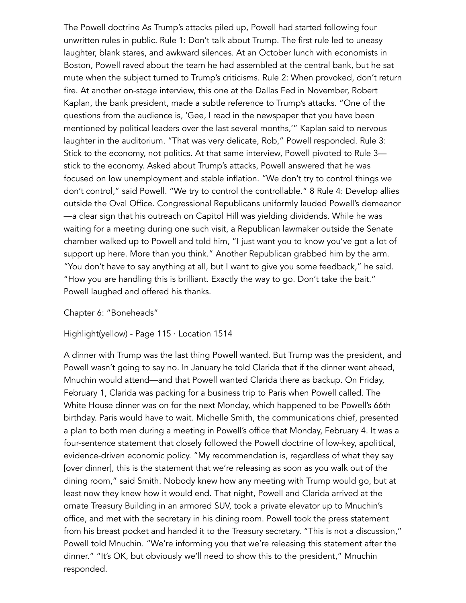The Powell doctrine As Trump's attacks piled up, Powell had started following four unwritten rules in public. Rule 1: Don't talk about Trump. The first rule led to uneasy laughter, blank stares, and awkward silences. At an October lunch with economists in Boston, Powell raved about the team he had assembled at the central bank, but he sat mute when the subject turned to Trump's criticisms. Rule 2: When provoked, don't return fire. At another on-stage interview, this one at the Dallas Fed in November, Robert Kaplan, the bank president, made a subtle reference to Trump's attacks. "One of the questions from the audience is, 'Gee, I read in the newspaper that you have been mentioned by political leaders over the last several months,'" Kaplan said to nervous laughter in the auditorium. "That was very delicate, Rob," Powell responded. Rule 3: Stick to the economy, not politics. At that same interview, Powell pivoted to Rule 3 stick to the economy. Asked about Trump's attacks, Powell answered that he was focused on low unemployment and stable inflation. "We don't try to control things we don't control," said Powell. "We try to control the controllable." 8 Rule 4: Develop allies outside the Oval Office. Congressional Republicans uniformly lauded Powell's demeanor —a clear sign that his outreach on Capitol Hill was yielding dividends. While he was waiting for a meeting during one such visit, a Republican lawmaker outside the Senate chamber walked up to Powell and told him, "I just want you to know you've got a lot of support up here. More than you think." Another Republican grabbed him by the arm. "You don't have to say anything at all, but I want to give you some feedback," he said. "How you are handling this is brilliant. Exactly the way to go. Don't take the bait." Powell laughed and offered his thanks.

#### Chapter 6: "Boneheads"

#### Highlight(yellow) - Page 115 · Location 1514

A dinner with Trump was the last thing Powell wanted. But Trump was the president, and Powell wasn't going to say no. In January he told Clarida that if the dinner went ahead, Mnuchin would attend—and that Powell wanted Clarida there as backup. On Friday, February 1, Clarida was packing for a business trip to Paris when Powell called. The White House dinner was on for the next Monday, which happened to be Powell's 66th birthday. Paris would have to wait. Michelle Smith, the communications chief, presented a plan to both men during a meeting in Powell's office that Monday, February 4. It was a four-sentence statement that closely followed the Powell doctrine of low-key, apolitical, evidence-driven economic policy. "My recommendation is, regardless of what they say [over dinner], this is the statement that we're releasing as soon as you walk out of the dining room," said Smith. Nobody knew how any meeting with Trump would go, but at least now they knew how it would end. That night, Powell and Clarida arrived at the ornate Treasury Building in an armored SUV, took a private elevator up to Mnuchin's office, and met with the secretary in his dining room. Powell took the press statement from his breast pocket and handed it to the Treasury secretary. "This is not a discussion," Powell told Mnuchin. "We're informing you that we're releasing this statement after the dinner." "It's OK, but obviously we'll need to show this to the president," Mnuchin responded.